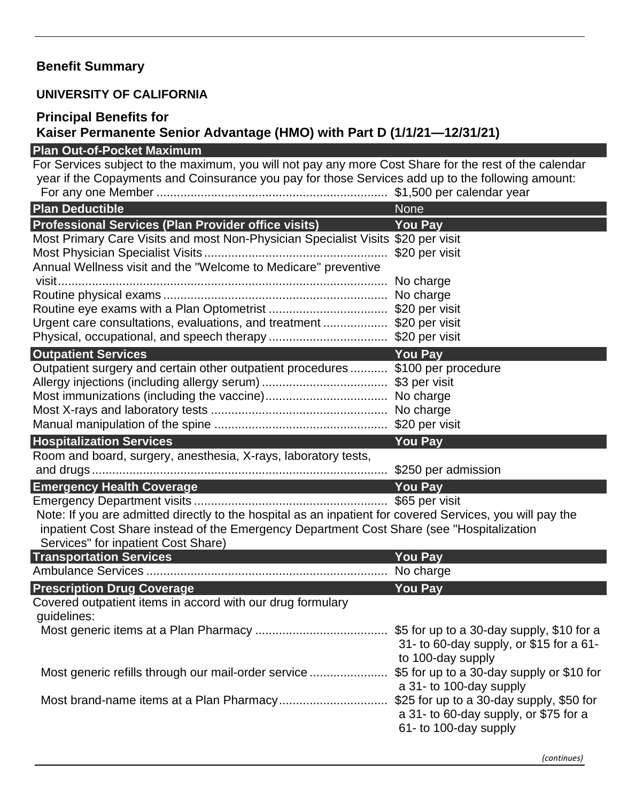## **Benefit Summary**

## **UNIVERSITY OF CALIFORNIA**

## **Principal Benefits for**

## **Kaiser Permanente Senior Advantage (HMO) with Part D (1/1/21—12/31/21) Plan Out-of-Pocket Maximum**

| For Services subject to the maximum, you will not pay any more Cost Share for the rest of the calendar<br>year if the Copayments and Coinsurance you pay for those Services add up to the following amount: |                                                                                                            |
|-------------------------------------------------------------------------------------------------------------------------------------------------------------------------------------------------------------|------------------------------------------------------------------------------------------------------------|
|                                                                                                                                                                                                             |                                                                                                            |
| <b>Plan Deductible</b>                                                                                                                                                                                      | <b>None</b>                                                                                                |
| <b>Professional Services (Plan Provider office visits)</b>                                                                                                                                                  | <b>You Pay</b>                                                                                             |
| Most Primary Care Visits and most Non-Physician Specialist Visits \$20 per visit                                                                                                                            |                                                                                                            |
|                                                                                                                                                                                                             | \$20 per visit                                                                                             |
| Annual Wellness visit and the "Welcome to Medicare" preventive                                                                                                                                              |                                                                                                            |
|                                                                                                                                                                                                             | No charge                                                                                                  |
|                                                                                                                                                                                                             |                                                                                                            |
|                                                                                                                                                                                                             |                                                                                                            |
| Urgent care consultations, evaluations, and treatment \$20 per visit                                                                                                                                        |                                                                                                            |
|                                                                                                                                                                                                             |                                                                                                            |
| <b>Outpatient Services</b>                                                                                                                                                                                  | <b>You Pay</b>                                                                                             |
| Outpatient surgery and certain other outpatient procedures  \$100 per procedure                                                                                                                             |                                                                                                            |
|                                                                                                                                                                                                             |                                                                                                            |
|                                                                                                                                                                                                             |                                                                                                            |
|                                                                                                                                                                                                             |                                                                                                            |
|                                                                                                                                                                                                             |                                                                                                            |
| <b>Hospitalization Services</b>                                                                                                                                                                             | <b>You Pay</b>                                                                                             |
| Room and board, surgery, anesthesia, X-rays, laboratory tests,                                                                                                                                              |                                                                                                            |
|                                                                                                                                                                                                             |                                                                                                            |
| <b>Emergency Health Coverage</b>                                                                                                                                                                            | <b>You Pay</b>                                                                                             |
|                                                                                                                                                                                                             |                                                                                                            |
| Note: If you are admitted directly to the hospital as an inpatient for covered Services, you will pay the                                                                                                   |                                                                                                            |
| inpatient Cost Share instead of the Emergency Department Cost Share (see "Hospitalization                                                                                                                   |                                                                                                            |
|                                                                                                                                                                                                             |                                                                                                            |
| Services" for inpatient Cost Share)                                                                                                                                                                         |                                                                                                            |
| <b>Transportation Services</b>                                                                                                                                                                              | <b>You Pay</b>                                                                                             |
|                                                                                                                                                                                                             | No charge                                                                                                  |
| <b>Prescription Drug Coverage</b>                                                                                                                                                                           | <b>You Pay</b>                                                                                             |
| Covered outpatient items in accord with our drug formulary                                                                                                                                                  |                                                                                                            |
| guidelines:                                                                                                                                                                                                 |                                                                                                            |
|                                                                                                                                                                                                             | 31- to 60-day supply, or \$15 for a 61-                                                                    |
|                                                                                                                                                                                                             | to 100-day supply                                                                                          |
| Most generic refills through our mail-order service                                                                                                                                                         | \$5 for up to a 30-day supply or \$10 for                                                                  |
|                                                                                                                                                                                                             | a 31- to 100-day supply                                                                                    |
|                                                                                                                                                                                                             | \$25 for up to a 30-day supply, \$50 for<br>a 31- to 60-day supply, or \$75 for a<br>61- to 100-day supply |